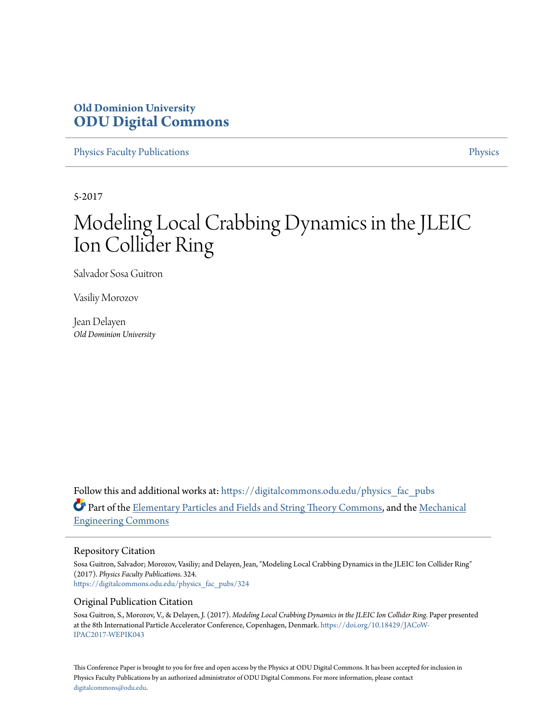# **Old Dominion University [ODU Digital Commons](https://digitalcommons.odu.edu?utm_source=digitalcommons.odu.edu%2Fphysics_fac_pubs%2F324&utm_medium=PDF&utm_campaign=PDFCoverPages)**

[Physics Faculty Publications](https://digitalcommons.odu.edu/physics_fac_pubs?utm_source=digitalcommons.odu.edu%2Fphysics_fac_pubs%2F324&utm_medium=PDF&utm_campaign=PDFCoverPages) [Physics](https://digitalcommons.odu.edu/physics?utm_source=digitalcommons.odu.edu%2Fphysics_fac_pubs%2F324&utm_medium=PDF&utm_campaign=PDFCoverPages)

5-2017

# Modeling Local Crabbing Dynamics in the JLEIC Ion Collider Ring

Salvador Sosa Guitron

Vasiliy Morozov

Jean Delayen *Old Dominion University*

Follow this and additional works at: [https://digitalcommons.odu.edu/physics\\_fac\\_pubs](https://digitalcommons.odu.edu/physics_fac_pubs?utm_source=digitalcommons.odu.edu%2Fphysics_fac_pubs%2F324&utm_medium=PDF&utm_campaign=PDFCoverPages) Part of the [Elementary Particles and Fields and String Theory Commons](http://network.bepress.com/hgg/discipline/199?utm_source=digitalcommons.odu.edu%2Fphysics_fac_pubs%2F324&utm_medium=PDF&utm_campaign=PDFCoverPages), and the [Mechanical](http://network.bepress.com/hgg/discipline/293?utm_source=digitalcommons.odu.edu%2Fphysics_fac_pubs%2F324&utm_medium=PDF&utm_campaign=PDFCoverPages) [Engineering Commons](http://network.bepress.com/hgg/discipline/293?utm_source=digitalcommons.odu.edu%2Fphysics_fac_pubs%2F324&utm_medium=PDF&utm_campaign=PDFCoverPages)

### Repository Citation

Sosa Guitron, Salvador; Morozov, Vasiliy; and Delayen, Jean, "Modeling Local Crabbing Dynamics in the JLEIC Ion Collider Ring" (2017). *Physics Faculty Publications*. 324. [https://digitalcommons.odu.edu/physics\\_fac\\_pubs/324](https://digitalcommons.odu.edu/physics_fac_pubs/324?utm_source=digitalcommons.odu.edu%2Fphysics_fac_pubs%2F324&utm_medium=PDF&utm_campaign=PDFCoverPages)

### Original Publication Citation

Sosa Guitron, S., Morozov, V., & Delayen, J. (2017). *Modeling Local Crabbing Dynamics in the JLEIC Ion Collider Ring*. Paper presented at the 8th International Particle Accelerator Conference, Copenhagen, Denmark. [https://doi.org/10.18429/JACoW-](https://doi.org/10.18429/JACoW-IPAC2017-WEPIK043)[IPAC2017-WEPIK043](https://doi.org/10.18429/JACoW-IPAC2017-WEPIK043)

This Conference Paper is brought to you for free and open access by the Physics at ODU Digital Commons. It has been accepted for inclusion in Physics Faculty Publications by an authorized administrator of ODU Digital Commons. For more information, please contact [digitalcommons@odu.edu.](mailto:digitalcommons@odu.edu)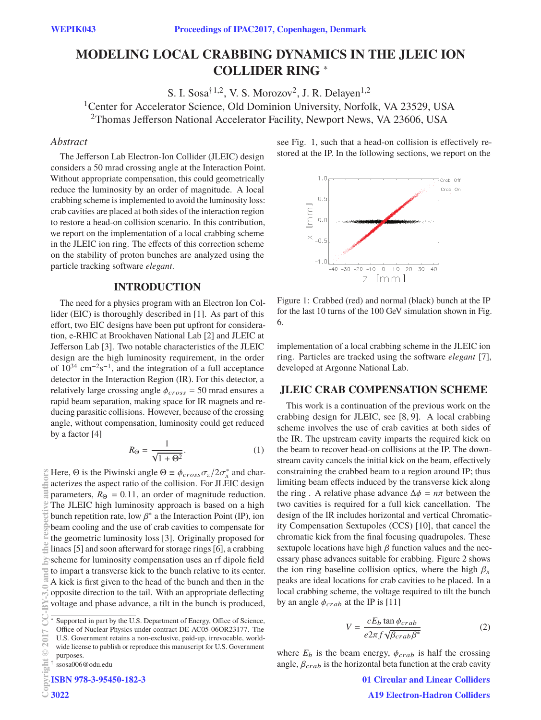## MODELING LOCAL CRABBING DYNAMICS IN THE JLEIC ION **MODELING RING \* COLLIDER RING** <sup>∗</sup>

S. I. Sosa<sup>†1,2</sup>, V. S. Morozov<sup>2</sup>, J. R. Delayen<sup>1,2</sup> <sup>1</sup>Center for Accelerator Science, Old Dominion University, Norfolk, VA 23529, USA 2Thomas Jefferson National Accelerator Facility, Newport News, VA 23606, USA

### *Abstract*

The Jefferson Lab Electron-Ion Collider (JLEIC) design considers a 50 mrad crossing angle at the Interaction Point. Without appropriate compensation, this could geometrically reduce the luminosity by an order of magnitude. A local crabbing scheme is implemented to avoid the luminosity loss: crab cavities are placed at both sides of the interaction region to restore a head-on collision scenario. In this contribution, we report on the implementation of a local crabbing scheme in the JLEIC ion ring. The effects of this correction scheme on the stability of proton bunches are analyzed using the particle tracking software *elegant*.

### **INTRODUCTION**

The need for a physics program with an Electron Ion Collider (EIC) is thoroughly described in [1]. As part of this effort, two EIC designs have been put upfront for consideration, e-RHIC at Brookhaven National Lab [2] and JLEIC at Jefferson Lab [3]. Two notable characteristics of the JLEIC design are the high luminosity requirement, in the order of 10<sup>34</sup> cm−2s−1, and the integration of a full acceptance detector in the Interaction Region (IR). For this detector, a relatively large crossing angle  $\phi_{cross} = 50$  mrad ensures a rapid beam separation, making space for IR magnets and reducing parasitic collisions. However, because of the crossing angle, without compensation, luminosity could get reduced by a factor [4]

$$
R_{\Theta} = \frac{1}{\sqrt{1 + \Theta^2}}.\tag{1}
$$

Here,  $\Theta$  is the Piwinski angle  $\Theta = \phi_{cross}\sigma_z/2\sigma_x^*$  and charthors **2017**<br> **2017**<br> **2017**<br> **2018**<br> **2017**<br> **2018**<br> **2017**<br> **2018**<br> **2018**<br> **2027** acterizes the aspect ratio of the collision. For JLEIC design parameters,  $R_{\Theta} = 0.11$ , an order of magnitude reduction. The JLEIC high luminosity approach is based on a high bunch repetition rate, low  $\beta^*$  a the Interaction Point (IP), ion beam cooling and the use of crab cavities to compensate for the geometric luminosity loss [3]. Originally proposed for linacs [5] and soon afterward for storage rings [6], a crabbing scheme for luminosity compensation uses an rf dipole field X to impart a transverse kick to the bunch relative to its center. A kick is first given to the head of the bunch and then in the opposite direction to the tail. With an appropriate deflecting voltage and phase advance, a tilt in the bunch is produced,

† ssosa006@odu.edu

**ISBN 978-3-95450-182-3**

**©**

see Fig. 1, such that a head-on collision is effectively restored at the IP. In the following sections, we report on the



Figure 1: Crabbed (red) and normal (black) bunch at the IP for the last 10 turns of the 100 GeV simulation shown in Fig. 6.

implementation of a local crabbing scheme in the JLEIC ion ring. Particles are tracked using the software *elegant* [7], developed at Argonne National Lab.

This work is a continuation of the previous work on the crabbing design for JLEIC, see [8, 9]. A local crabbing scheme involves the use of crab cavities at both sides of the IR. The upstream cavity imparts the required kick on the beam to recover head-on collisions at the IP. The downstream cavity cancels the initial kick on the beam, effectively constraining the crabbed beam to a region around IP; thus limiting beam effects induced by the transverse kick along the ring . A relative phase advance  $\Delta \phi = n\pi$  between the two cavities is required for a full kick cancellation. The design of the IR includes horizontal and vertical Chromaticity Compensation Sextupoles (CCS) [10], that cancel the chromatic kick from the final focusing quadrupoles. These sextupole locations have high  $\beta$  function values and the necessary phase advances suitable for crabbing. Figure 2 shows the ion ring baseline collision optics, where the high  $\beta_x$ peaks are ideal locations for crab cavities to be placed. In a local crabbing scheme, the voltage required to tilt the bunch by an angle  $\phi_{crab}$  at the IP is [11]

$$
V = \frac{cE_b \tan \phi_{crab}}{e2\pi f \sqrt{\beta_{crab}\beta^*}}\tag{2}
$$

where  $E_b$  is the beam energy,  $\phi_{crab}$  is half the crossing angle,  $\beta_{crab}$  is the horizontal beta function at the crab cavity

Supported in part by the U.S. Department of Energy, Office of Science, Office of Nuclear Physics under contract DE-AC05-06OR23177. The U.S. Government retains a non-exclusive, paid-up, irrevocable, worldwide license to publish or reproduce this manuscript for U.S. Government purposes.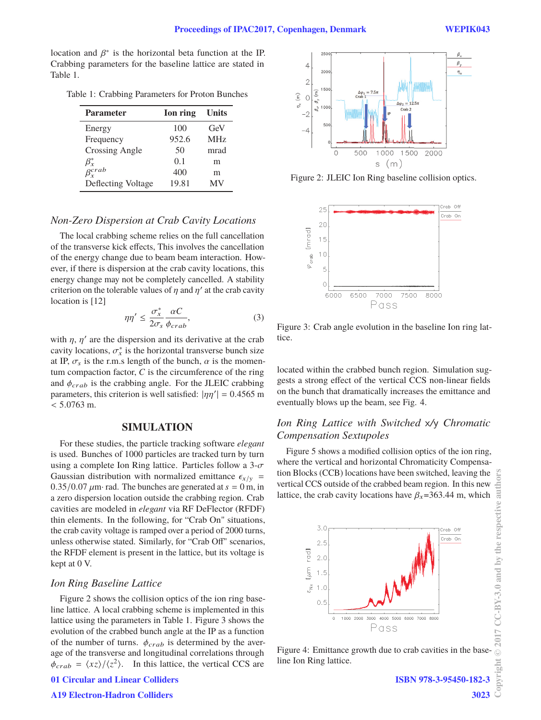location and  $\beta^*$  is the horizontal beta function at the IP. Crabbing parameters for the baseline lattice are stated in Table 1.

Table 1: Crabbing Parameters for Proton Bunches

| <b>Parameter</b>                   | Ion ring | <b>Units</b>    |
|------------------------------------|----------|-----------------|
| Energy                             | 100      | GeV             |
| Frequency                          | 952.6    | MH <sub>z</sub> |
| <b>Crossing Angle</b>              | 50       | mrad            |
| $\frac{\beta_x^*}{\beta_x^{crab}}$ | 0.1      | m               |
|                                    | 400      | m               |
| Deflecting Voltage                 | 19.81    | MV              |

### *Non-Zero Dispersion at Crab Cavity Locations*

The local crabbing scheme relies on the full cancellation of the transverse kick effects, This involves the cancellation of the energy change due to beam beam interaction. However, if there is dispersion at the crab cavity locations, this energy change may not be completely cancelled. A stability criterion on the tolerable values of  $\eta$  and  $\eta'$  at the crab cavity location is [12]

$$
\eta \eta' \le \frac{\sigma_x^*}{2\sigma_s} \frac{\alpha C}{\phi_{crab}},\tag{3}
$$

with  $\eta$ ,  $\eta'$  are the dispersion and its derivative at the crab cavity locations,  $\sigma_x^*$  is the horizontal transverse bunch size at IP,  $\sigma_s$  is the r.m.s length of the bunch,  $\alpha$  is the momentum compaction factor, *C* is the circumference of the ring and  $\phi_{crab}$  is the crabbing angle. For the JLEIC crabbing parameters, this criterion is well satisfied:  $|\eta\eta'| = 0.4565$  m  $< 5.0763$  m.

### **SIMULATION**

For these studies, the particle tracking software *elegant* is used. Bunches of 1000 particles are tracked turn by turn using a complete Ion Ring lattice. Particles follow a  $3-\sigma$ Gaussian distribution with normalized emittance  $\epsilon_{x/y}$  =  $0.35/0.07 \mu m$  rad. The bunches are generated at  $s = 0 m$ , in a zero dispersion location outside the crabbing region. Crab cavities are modeled in *elegant* via RF DeFlector (RFDF) thin elements. In the following, for "Crab On" situations, the crab cavity voltage is ramped over a period of 2000 turns, unless otherwise stated. Similarly, for "Crab Off" scenarios, the RFDF element is present in the lattice, but its voltage is kept at 0 V.

### *Ion Ring Baseline Lattice*

Figure 2 shows the collision optics of the ion ring baseline lattice. A local crabbing scheme is implemented in this lattice using the parameters in Table 1. Figure 3 shows the evolution of the crabbed bunch angle at the IP as a function of the number of turns.  $\phi_{crab}$  is determined by the average of the transverse and longitudinal correlations through  $\phi_{crab} = \langle xz \rangle / \langle z^2 \rangle$ . In this lattice, the vertical CCS are

**01 Circular and Linear Colliders**



Figure 2: JLEIC Ion Ring baseline collision optics.



Figure 3: Crab angle evolution in the baseline Ion ring lattice.

located within the crabbed bunch region. Simulation suggests a strong effect of the vertical CCS non-linear fields on the bunch that dramatically increases the emittance and eventually blows up the beam, see Fig. 4.

### *Ion Ring Lattice with Switched* x*/*y *Chromatic Compensation Sextupoles*

Figure 5 shows a modified collision optics of the ion ring, where the vertical and horizontal Chromaticity Compensation Blocks (CCB) locations have been switched, leaving the vertical CCS outside of the crabbed beam region. In this new lattice, the crab cavity locations have  $\beta_x$ =363.44 m, which



Figure 4: Emittance growth due to crab cavities in the baseline Ion Ring lattice.

**3023**